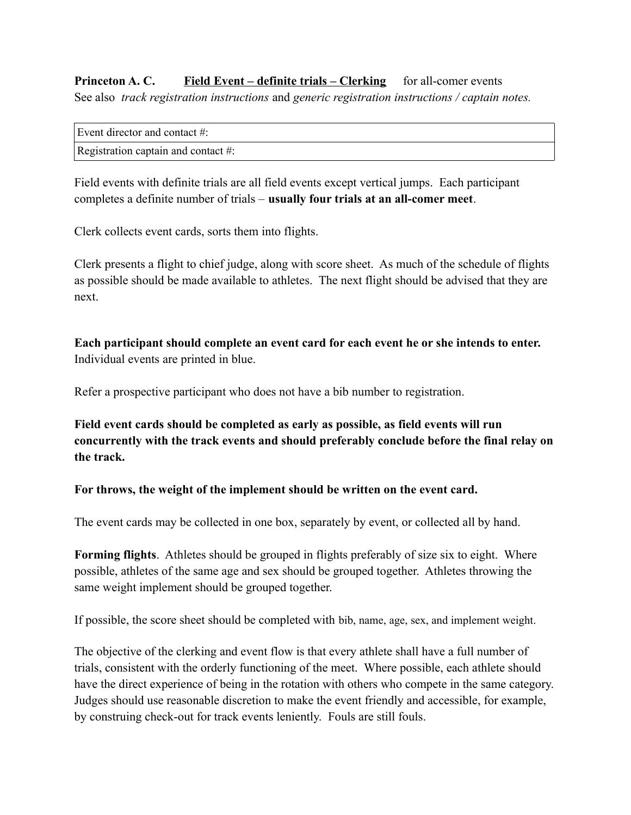**Princeton A. C.** Field Event – definite trials – Clerking for all-comer events See also *track registration instructions* and *generic registration instructions / captain notes.*

| Event director and contact #:       |  |
|-------------------------------------|--|
| Registration captain and contact #: |  |

Field events with definite trials are all field events except vertical jumps. Each participant completes a definite number of trials – **usually four trials at an all-comer meet**.

Clerk collects event cards, sorts them into flights.

Clerk presents a flight to chief judge, along with score sheet. As much of the schedule of flights as possible should be made available to athletes. The next flight should be advised that they are next.

**Each participant should complete an event card for each event he or she intends to enter.** Individual events are printed in blue.

Refer a prospective participant who does not have a bib number to registration.

**Field event cards should be completed as early as possible, as field events will run concurrently with the track events and should preferably conclude before the final relay on the track.**

**For throws, the weight of the implement should be written on the event card.**

The event cards may be collected in one box, separately by event, or collected all by hand.

**Forming flights**. Athletes should be grouped in flights preferably of size six to eight. Where possible, athletes of the same age and sex should be grouped together. Athletes throwing the same weight implement should be grouped together.

If possible, the score sheet should be completed with bib, name, age, sex, and implement weight.

The objective of the clerking and event flow is that every athlete shall have a full number of trials, consistent with the orderly functioning of the meet. Where possible, each athlete should have the direct experience of being in the rotation with others who compete in the same category. Judges should use reasonable discretion to make the event friendly and accessible, for example, by construing check-out for track events leniently. Fouls are still fouls.